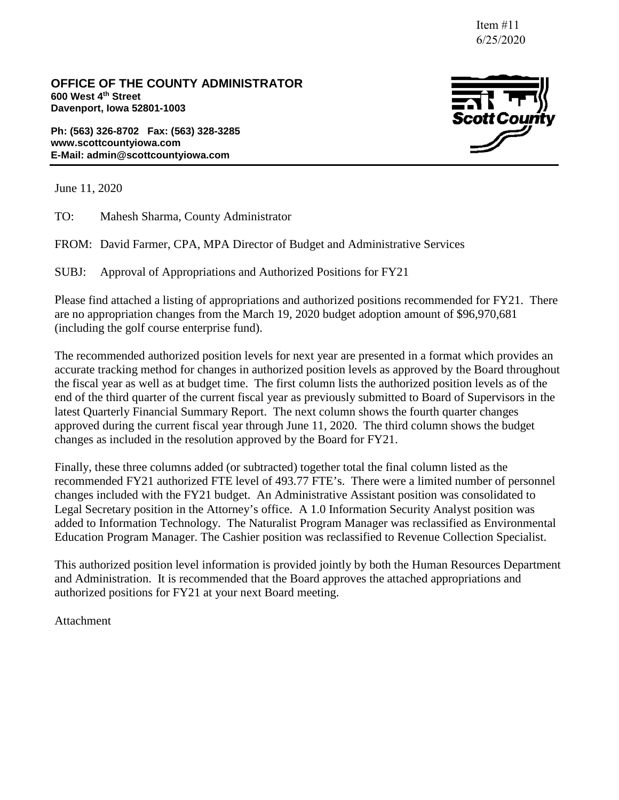Item #11 6/25/2020

**OFFICE OF THE COUNTY ADMINISTRATOR 600 West 4th Street Davenport, Iowa 52801-1003**

**Ph: (563) 326-8702 Fax: (563) 328-3285 www.scottcountyiowa.com E-Mail: admin@scottcountyiowa.com**



June 11, 2020

TO: Mahesh Sharma, County Administrator

FROM: David Farmer, CPA, MPA Director of Budget and Administrative Services

SUBJ: Approval of Appropriations and Authorized Positions for FY21

Please find attached a listing of appropriations and authorized positions recommended for FY21. There are no appropriation changes from the March 19, 2020 budget adoption amount of \$96,970,681 (including the golf course enterprise fund).

The recommended authorized position levels for next year are presented in a format which provides an accurate tracking method for changes in authorized position levels as approved by the Board throughout the fiscal year as well as at budget time. The first column lists the authorized position levels as of the end of the third quarter of the current fiscal year as previously submitted to Board of Supervisors in the latest Quarterly Financial Summary Report. The next column shows the fourth quarter changes approved during the current fiscal year through June 11, 2020. The third column shows the budget changes as included in the resolution approved by the Board for FY21.

Finally, these three columns added (or subtracted) together total the final column listed as the recommended FY21 authorized FTE level of 493.77 FTE's. There were a limited number of personnel changes included with the FY21 budget. An Administrative Assistant position was consolidated to Legal Secretary position in the Attorney's office. A 1.0 Information Security Analyst position was added to Information Technology. The Naturalist Program Manager was reclassified as Environmental Education Program Manager. The Cashier position was reclassified to Revenue Collection Specialist.

This authorized position level information is provided jointly by both the Human Resources Department and Administration. It is recommended that the Board approves the attached appropriations and authorized positions for FY21 at your next Board meeting.

Attachment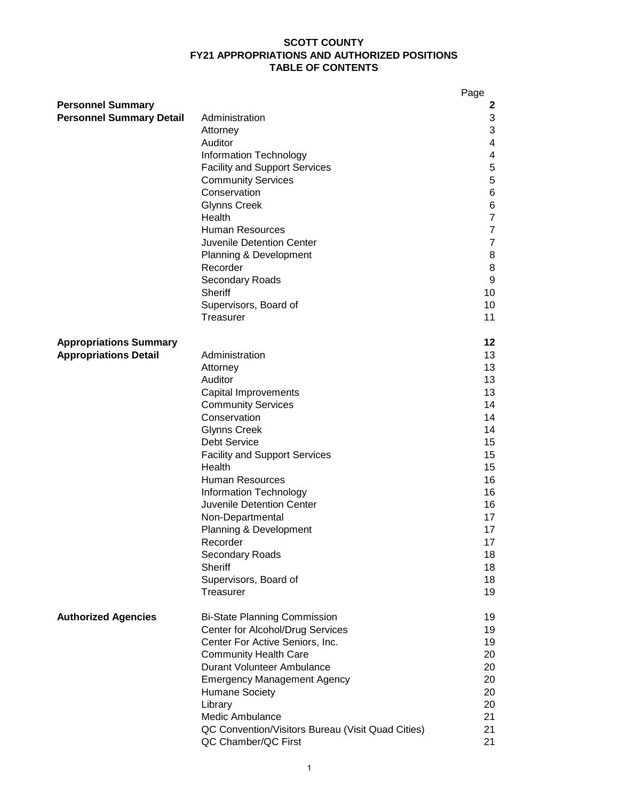#### **SCOTT COUNTY FY21 APPROPRIATIONS AND AUTHORIZED POSITIONS TABLE OF CONTENTS**

|                                 |                                                   | Page           |
|---------------------------------|---------------------------------------------------|----------------|
| <b>Personnel Summary</b>        |                                                   | 2              |
| <b>Personnel Summary Detail</b> | Administration                                    | 3              |
|                                 | Attorney                                          | 3              |
|                                 | Auditor                                           | 4              |
|                                 | <b>Information Technology</b>                     | 4              |
|                                 | <b>Facility and Support Services</b>              | 5              |
|                                 | <b>Community Services</b>                         | 5              |
|                                 | Conservation                                      | 6              |
|                                 | <b>Glynns Creek</b>                               | 6              |
|                                 | Health                                            | $\overline{7}$ |
|                                 | <b>Human Resources</b>                            | $\overline{7}$ |
|                                 | Juvenile Detention Center                         | $\overline{7}$ |
|                                 | Planning & Development                            | 8              |
|                                 | Recorder                                          | 8              |
|                                 | Secondary Roads                                   | 9              |
|                                 | Sheriff                                           | 10             |
|                                 | Supervisors, Board of                             | 10             |
|                                 | Treasurer                                         | 11             |
|                                 |                                                   |                |
| <b>Appropriations Summary</b>   |                                                   | 12             |
| <b>Appropriations Detail</b>    | Administration                                    | 13             |
|                                 | Attorney                                          | 13             |
|                                 | Auditor                                           | 13             |
|                                 | Capital Improvements                              | 13             |
|                                 | <b>Community Services</b>                         | 14             |
|                                 | Conservation                                      | 14             |
|                                 | <b>Glynns Creek</b>                               | 14             |
|                                 | <b>Debt Service</b>                               | 15             |
|                                 | <b>Facility and Support Services</b>              | 15             |
|                                 | Health                                            | 15             |
|                                 | <b>Human Resources</b>                            | 16             |
|                                 | <b>Information Technology</b>                     | 16             |
|                                 | Juvenile Detention Center                         | 16             |
|                                 |                                                   | 17             |
|                                 | Non-Departmental                                  |                |
|                                 | Planning & Development                            | 17             |
|                                 | Recorder                                          | 17             |
|                                 | Secondary Roads<br><b>Sheriff</b>                 | 18             |
|                                 |                                                   | 18             |
|                                 | Supervisors, Board of                             | 18<br>19       |
|                                 | Treasurer                                         |                |
| <b>Authorized Agencies</b>      | <b>Bi-State Planning Commission</b>               | 19             |
|                                 | Center for Alcohol/Drug Services                  | 19             |
|                                 | Center For Active Seniors, Inc.                   | 19             |
|                                 | <b>Community Health Care</b>                      | 20             |
|                                 | Durant Volunteer Ambulance                        | 20             |
|                                 | <b>Emergency Management Agency</b>                | 20             |
|                                 | <b>Humane Society</b>                             | 20             |
|                                 | Library                                           | 20             |
|                                 | Medic Ambulance                                   | 21             |
|                                 | QC Convention/Visitors Bureau (Visit Quad Cities) | 21             |
|                                 | QC Chamber/QC First                               | 21             |
|                                 |                                                   |                |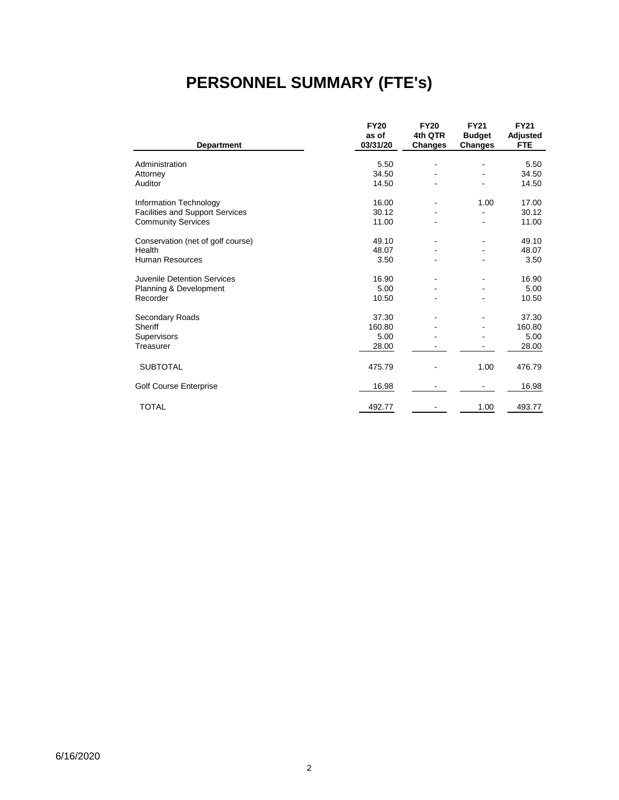# **PERSONNEL SUMMARY (FTE's)**

|                                        | <b>FY20</b>       | <b>FY20</b>               | <b>FY21</b>                     | <b>FY21</b>            |
|----------------------------------------|-------------------|---------------------------|---------------------------------|------------------------|
| <b>Department</b>                      | as of<br>03/31/20 | 4th QTR<br><b>Changes</b> | <b>Budget</b><br><b>Changes</b> | Adjusted<br><b>FTE</b> |
|                                        |                   |                           |                                 |                        |
| Administration                         | 5.50              |                           |                                 | 5.50                   |
| Attorney                               | 34.50             |                           |                                 | 34.50                  |
| Auditor                                | 14.50             |                           |                                 | 14.50                  |
| Information Technology                 | 16.00             | $\blacksquare$            | 1.00                            | 17.00                  |
| <b>Facilities and Support Services</b> | 30.12             |                           |                                 | 30.12                  |
| <b>Community Services</b>              | 11.00             |                           |                                 | 11.00                  |
| Conservation (net of golf course)      | 49.10             |                           |                                 | 49.10                  |
| Health                                 | 48.07             |                           |                                 | 48.07                  |
| <b>Human Resources</b>                 | 3.50              |                           |                                 | 3.50                   |
| Juvenile Detention Services            | 16.90             |                           |                                 | 16.90                  |
| Planning & Development                 | 5.00              |                           |                                 | 5.00                   |
| Recorder                               | 10.50             |                           |                                 | 10.50                  |
| Secondary Roads                        | 37.30             |                           |                                 | 37.30                  |
| Sheriff                                | 160.80            |                           |                                 | 160.80                 |
| Supervisors                            | 5.00              |                           |                                 | 5.00                   |
| Treasurer                              | 28.00             |                           |                                 | 28.00                  |
| <b>SUBTOTAL</b>                        | 475.79            |                           | 1.00                            | 476.79                 |
| Golf Course Enterprise                 | 16.98             |                           |                                 | 16.98                  |
| <b>TOTAL</b>                           | 492.77            |                           | 1.00                            | 493.77                 |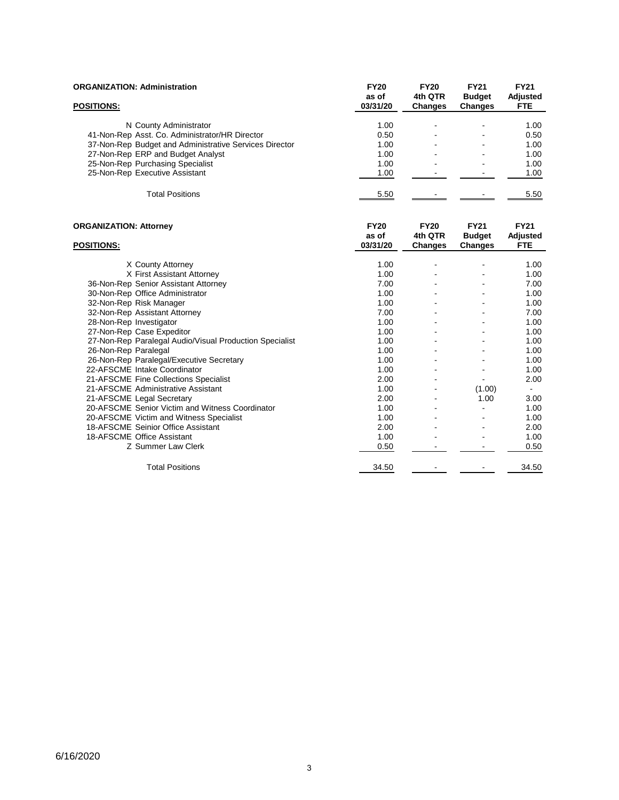| <b>ORGANIZATION: Administration</b>                     | <b>FY20</b> | <b>FY20</b> | <b>FY21</b>    | <b>FY21</b>    |
|---------------------------------------------------------|-------------|-------------|----------------|----------------|
|                                                         | as of       | 4th QTR     | <b>Budget</b>  | Adjusted       |
| POSITIONS:                                              | 03/31/20    | Changes     | <b>Changes</b> | <b>FTE</b>     |
|                                                         |             |             |                |                |
| N County Administrator                                  | 1.00        |             |                | 1.00           |
| 41-Non-Rep Asst. Co. Administrator/HR Director          | 0.50        |             |                | 0.50           |
| 37-Non-Rep Budget and Administrative Services Director  | 1.00        |             |                | 1.00           |
| 27-Non-Rep ERP and Budget Analyst                       | 1.00        |             |                | 1.00           |
| 25-Non-Rep Purchasing Specialist                        | 1.00        |             |                | 1.00           |
| 25-Non-Rep Executive Assistant                          | 1.00        |             |                | 1.00           |
| <b>Total Positions</b>                                  | 5.50        |             |                | 5.50           |
|                                                         |             |             |                |                |
| <b>ORGANIZATION: Attorney</b>                           | <b>FY20</b> | <b>FY20</b> | <b>FY21</b>    | <b>FY21</b>    |
|                                                         | as of       | 4th QTR     | <b>Budget</b>  | Adjusted       |
| <b>POSITIONS:</b>                                       | 03/31/20    | Changes     | <b>Changes</b> | <b>FTE</b>     |
|                                                         |             |             |                |                |
| X County Attorney                                       | 1.00        |             |                | 1.00           |
| X First Assistant Attorney                              | 1.00        |             |                | 1.00           |
| 36-Non-Rep Senior Assistant Attorney                    | 7.00        |             |                | 7.00           |
| 30-Non-Rep Office Administrator                         | 1.00        |             |                | 1.00           |
| 32-Non-Rep Risk Manager                                 | 1.00        |             |                | 1.00           |
| 32-Non-Rep Assistant Attorney                           | 7.00        |             |                | 7.00           |
| 28-Non-Rep Investigator                                 | 1.00        |             |                | 1.00           |
| 27-Non-Rep Case Expeditor                               | 1.00        |             |                | 1.00           |
| 27-Non-Rep Paralegal Audio/Visual Production Specialist | 1.00        |             |                | 1.00           |
| 26-Non-Rep Paralegal                                    | 1.00        |             |                | 1.00           |
| 26-Non-Rep Paralegal/Executive Secretary                | 1.00        |             |                | 1.00           |
| 22-AFSCME Intake Coordinator                            | 1.00        |             |                | 1.00           |
| 21-AFSCME Fine Collections Specialist                   | 2.00        |             |                | 2.00           |
| 21-AFSCME Administrative Assistant                      | 1.00        |             | (1.00)         | $\blacksquare$ |
| 21-AFSCME Legal Secretary                               | 2.00        |             | 1.00           | 3.00           |
| 20-AFSCME Senior Victim and Witness Coordinator         | 1.00        |             |                | 1.00           |
| 20-AFSCME Victim and Witness Specialist                 | 1.00        |             |                | 1.00           |
| 18-AFSCME Seinior Office Assistant                      | 2.00        |             |                | 2.00           |
| 18-AFSCME Office Assistant                              | 1.00        |             |                | 1.00           |
| Z Summer Law Clerk                                      | 0.50        |             |                | 0.50           |
| <b>Total Positions</b>                                  | 34.50       |             |                | 34.50          |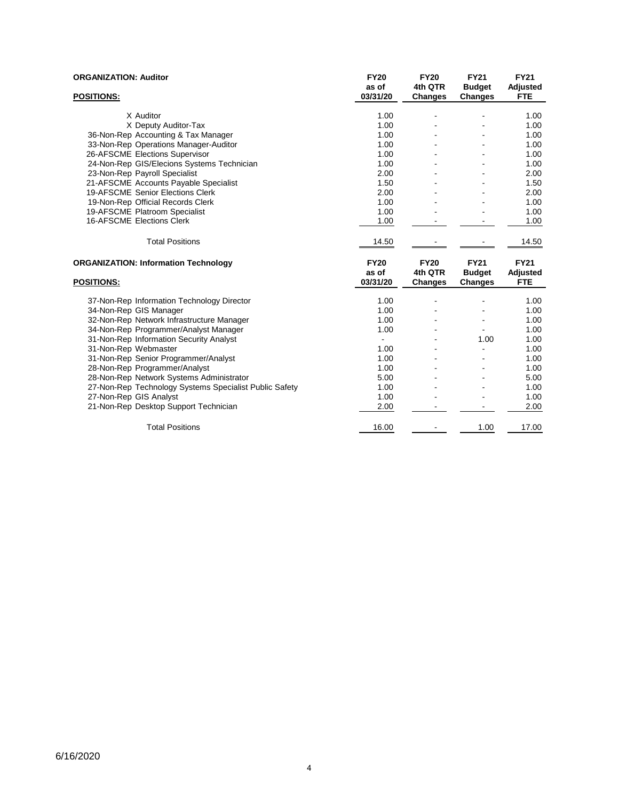| <b>ORGANIZATION: Auditor</b>                           | <b>FY20</b><br>as of | <b>FY20</b><br>4th QTR | <b>FY21</b><br><b>Budget</b> | <b>FY21</b><br>Adjusted |
|--------------------------------------------------------|----------------------|------------------------|------------------------------|-------------------------|
| <b>POSITIONS:</b>                                      | 03/31/20             | Changes                | <b>Changes</b>               | <b>FTE</b>              |
| X Auditor                                              | 1.00                 |                        |                              | 1.00                    |
| X Deputy Auditor-Tax                                   | 1.00                 |                        |                              | 1.00                    |
| 36-Non-Rep Accounting & Tax Manager                    | 1.00                 |                        |                              | 1.00                    |
| 33-Non-Rep Operations Manager-Auditor                  | 1.00                 |                        |                              | 1.00                    |
| 26-AFSCME Elections Supervisor                         | 1.00                 |                        |                              | 1.00                    |
| 24-Non-Rep GIS/Elecions Systems Technician             | 1.00                 |                        |                              | 1.00                    |
| 23-Non-Rep Payroll Specialist                          | 2.00                 |                        |                              | 2.00                    |
| 21-AFSCME Accounts Payable Specialist                  | 1.50                 |                        |                              | 1.50                    |
| 19-AFSCME Senior Elections Clerk                       | 2.00                 |                        |                              | 2.00                    |
| 19-Non-Rep Official Records Clerk                      | 1.00                 |                        |                              | 1.00                    |
| 19-AFSCME Platroom Specialist                          | 1.00                 |                        |                              | 1.00                    |
| 16-AFSCME Elections Clerk                              | 1.00                 |                        |                              | 1.00                    |
| <b>Total Positions</b>                                 | 14.50                |                        |                              | 14.50                   |
| <b>ORGANIZATION: Information Technology</b>            | <b>FY20</b>          | <b>FY20</b>            | <b>FY21</b>                  | <b>FY21</b>             |
|                                                        | as of                | 4th QTR                | <b>Budget</b>                | Adjusted                |
| <b>POSITIONS:</b>                                      | 03/31/20             | Changes                | <b>Changes</b>               | <b>FTE</b>              |
| 37-Non-Rep Information Technology Director             | 1.00                 |                        |                              | 1.00                    |
| 34-Non-Rep GIS Manager                                 | 1.00                 |                        |                              | 1.00                    |
| 32-Non-Rep Network Infrastructure Manager              | 1.00                 |                        |                              | 1.00                    |
| 34-Non-Rep Programmer/Analyst Manager                  | 1.00                 |                        |                              | 1.00                    |
| 31-Non-Rep Information Security Analyst                |                      |                        | 1.00                         | 1.00                    |
| 31-Non-Rep Webmaster                                   | 1.00                 |                        |                              | 1.00                    |
| 31-Non-Rep Senior Programmer/Analyst                   | 1.00                 |                        |                              | 1.00                    |
| 28-Non-Rep Programmer/Analyst                          | 1.00                 |                        |                              | 1.00                    |
| 28-Non-Rep Network Systems Administrator               | 5.00                 |                        |                              | 5.00                    |
| 27-Non-Rep Technology Systems Specialist Public Safety | 1.00                 |                        |                              | 1.00                    |
| 27-Non-Rep GIS Analyst                                 | 1.00                 |                        |                              | 1.00                    |
| 21-Non-Rep Desktop Support Technician                  | 2.00                 |                        |                              | 2.00                    |
|                                                        |                      |                        |                              |                         |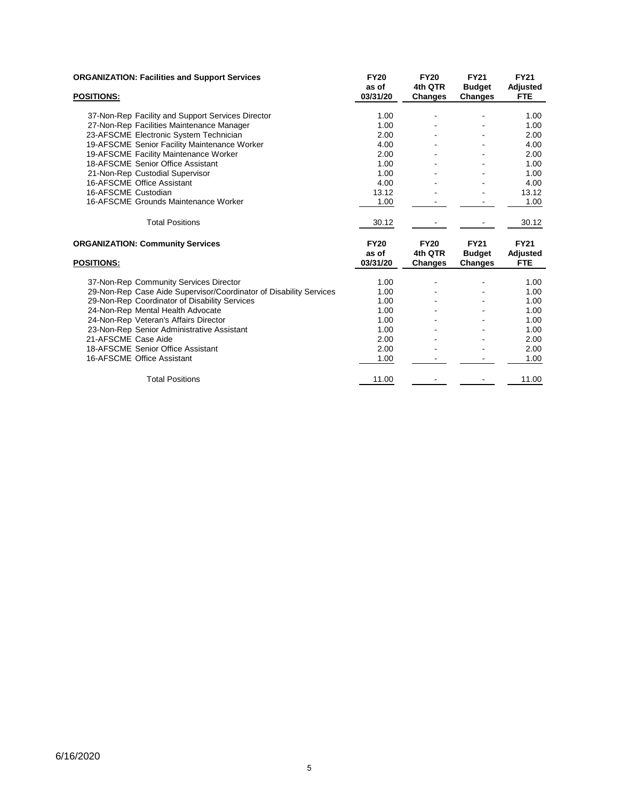| <b>ORGANIZATION: Facilities and Support Services</b>               | <b>FY20</b> | <b>FY20</b> | <b>FY21</b>   | <b>FY21</b> |
|--------------------------------------------------------------------|-------------|-------------|---------------|-------------|
|                                                                    | as of       | 4th QTR     | <b>Budget</b> | Adjusted    |
| <b>POSITIONS:</b>                                                  | 03/31/20    | Changes     | Changes       | <b>FTE</b>  |
|                                                                    |             |             |               |             |
| 37-Non-Rep Facility and Support Services Director                  | 1.00        |             |               | 1.00        |
| 27-Non-Rep Facilities Maintenance Manager                          | 1.00        |             |               | 1.00        |
| 23-AFSCME Electronic System Technician                             | 2.00        |             |               | 2.00        |
| 19-AFSCME Senior Facility Maintenance Worker                       | 4.00        |             |               | 4.00        |
| 19-AFSCME Facility Maintenance Worker                              | 2.00        |             |               | 2.00        |
| 18-AFSCME Senior Office Assistant                                  | 1.00        |             |               | 1.00        |
| 21-Non-Rep Custodial Supervisor                                    | 1.00        |             |               | 1.00        |
| 16-AFSCME Office Assistant                                         | 4.00        |             |               | 4.00        |
| 16-AFSCME Custodian                                                | 13.12       |             |               | 13.12       |
| 16-AFSCME Grounds Maintenance Worker                               | 1.00        |             |               | 1.00        |
| <b>Total Positions</b>                                             | 30.12       |             |               | 30.12       |
| <b>ORGANIZATION: Community Services</b>                            | <b>FY20</b> | <b>FY20</b> | <b>FY21</b>   | <b>FY21</b> |
|                                                                    | as of       | 4th QTR     | <b>Budget</b> | Adjusted    |
| <b>POSITIONS:</b>                                                  | 03/31/20    | Changes     | Changes       | <b>FTE</b>  |
| 37-Non-Rep Community Services Director                             | 1.00        |             |               | 1.00        |
| 29-Non-Rep Case Aide Supervisor/Coordinator of Disability Services | 1.00        |             |               | 1.00        |
| 29-Non-Rep Coordinator of Disability Services                      | 1.00        |             |               | 1.00        |
| 24-Non-Rep Mental Health Advocate                                  | 1.00        |             |               | 1.00        |
| 24-Non-Rep Veteran's Affairs Director                              | 1.00        |             |               | 1.00        |
| 23-Non-Rep Senior Administrative Assistant                         | 1.00        |             |               | 1.00        |
| 21-AFSCME Case Aide                                                | 2.00        |             |               | 2.00        |
| 18-AFSCME Senior Office Assistant                                  | 2.00        |             |               | 2.00        |
| 16-AFSCME Office Assistant                                         |             |             |               |             |
|                                                                    | 1.00        |             |               | 1.00        |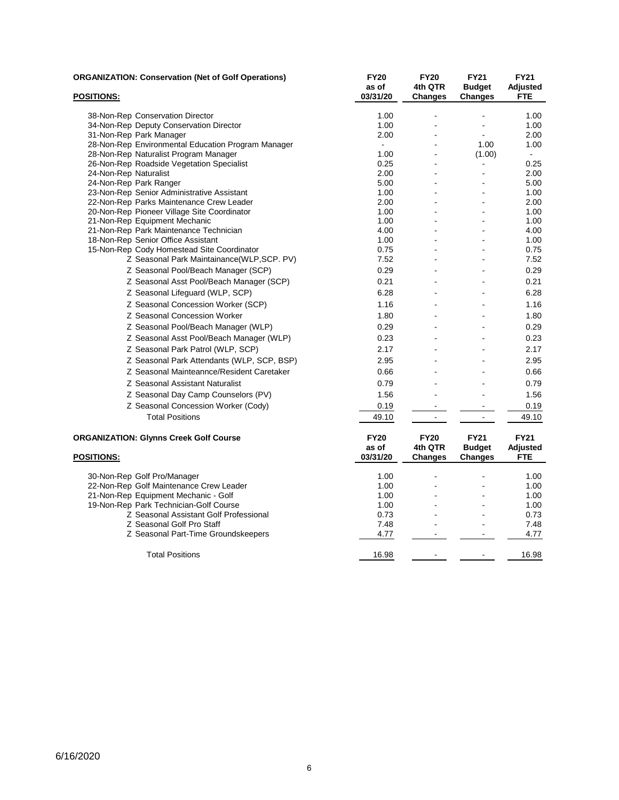| <u>POSITIONS:</u>     | <b>ORGANIZATION: Conservation (Net of Golf Operations)</b>           | <b>FY20</b><br>as of<br>03/31/20 | <b>FY20</b><br>4th QTR<br>Changes | <b>FY21</b><br><b>Budget</b><br><b>Changes</b> | <b>FY21</b><br>Adjusted<br><b>FTE</b> |
|-----------------------|----------------------------------------------------------------------|----------------------------------|-----------------------------------|------------------------------------------------|---------------------------------------|
|                       |                                                                      |                                  |                                   |                                                |                                       |
|                       | 38-Non-Rep Conservation Director                                     | 1.00                             |                                   |                                                | 1.00                                  |
|                       | 34-Non-Rep Deputy Conservation Director                              | 1.00                             |                                   |                                                | 1.00                                  |
|                       | 31-Non-Rep Park Manager                                              | 2.00                             |                                   |                                                | 2.00                                  |
|                       | 28-Non-Rep Environmental Education Program Manager                   | $\sim$                           |                                   | 1.00                                           | 1.00                                  |
|                       | 28-Non-Rep Naturalist Program Manager                                | 1.00                             |                                   | (1.00)                                         | $\blacksquare$                        |
|                       | 26-Non-Rep Roadside Vegetation Specialist                            | 0.25                             |                                   | $\blacksquare$                                 | 0.25                                  |
| 24-Non-Rep Naturalist |                                                                      | 2.00                             | $\overline{a}$                    | $\overline{a}$                                 | 2.00                                  |
|                       | 24-Non-Rep Park Ranger<br>23-Non-Rep Senior Administrative Assistant | 5.00<br>1.00                     | $\overline{a}$                    |                                                | 5.00<br>1.00                          |
|                       | 22-Non-Rep Parks Maintenance Crew Leader                             | 2.00                             |                                   |                                                | 2.00                                  |
|                       | 20-Non-Rep Pioneer Village Site Coordinator                          | 1.00                             |                                   |                                                | 1.00                                  |
|                       | 21-Non-Rep Equipment Mechanic                                        | 1.00                             |                                   |                                                | 1.00                                  |
|                       | 21-Non-Rep Park Maintenance Technician                               | 4.00                             |                                   |                                                | 4.00                                  |
|                       | 18-Non-Rep Senior Office Assistant                                   | 1.00                             |                                   |                                                | 1.00                                  |
|                       | 15-Non-Rep Cody Homestead Site Coordinator                           | 0.75                             | ÷.                                |                                                | 0.75                                  |
|                       | Z Seasonal Park Maintainance(WLP,SCP. PV)                            | 7.52                             |                                   |                                                | 7.52                                  |
|                       | Z Seasonal Pool/Beach Manager (SCP)                                  | 0.29                             | $\blacksquare$                    |                                                | 0.29                                  |
|                       | Z Seasonal Asst Pool/Beach Manager (SCP)                             | 0.21                             | $\blacksquare$                    |                                                | 0.21                                  |
|                       | Z Seasonal Lifeguard (WLP, SCP)                                      | 6.28                             |                                   |                                                | 6.28                                  |
|                       | Z Seasonal Concession Worker (SCP)                                   | 1.16                             |                                   |                                                | 1.16                                  |
|                       | Z Seasonal Concession Worker                                         | 1.80                             |                                   |                                                | 1.80                                  |
|                       | Z Seasonal Pool/Beach Manager (WLP)                                  | 0.29                             |                                   |                                                | 0.29                                  |
|                       | Z Seasonal Asst Pool/Beach Manager (WLP)                             | 0.23                             |                                   |                                                | 0.23                                  |
|                       | Z Seasonal Park Patrol (WLP, SCP)                                    | 2.17                             |                                   |                                                | 2.17                                  |
|                       | Z Seasonal Park Attendants (WLP, SCP, BSP)                           | 2.95                             |                                   |                                                | 2.95                                  |
|                       | Z Seasonal Mainteannce/Resident Caretaker                            | 0.66                             |                                   |                                                | 0.66                                  |
|                       | Z Seasonal Assistant Naturalist                                      | 0.79                             |                                   |                                                | 0.79                                  |
|                       | Z Seasonal Day Camp Counselors (PV)                                  | 1.56                             | $\overline{a}$                    | $\overline{a}$                                 | 1.56                                  |
|                       | Z Seasonal Concession Worker (Cody)                                  | 0.19                             | $\blacksquare$                    |                                                | 0.19                                  |
|                       | <b>Total Positions</b>                                               | 49.10                            | $\blacksquare$                    | $\blacksquare$                                 | 49.10                                 |
|                       |                                                                      |                                  |                                   |                                                |                                       |
|                       | <b>ORGANIZATION: Glynns Creek Golf Course</b>                        | <b>FY20</b>                      | <b>FY20</b>                       | <b>FY21</b>                                    | <b>FY21</b>                           |
|                       |                                                                      | as of                            | 4th QTR                           | <b>Budget</b>                                  | Adjusted                              |
| <b>POSITIONS:</b>     |                                                                      | 03/31/20                         | <b>Changes</b>                    | <b>Changes</b>                                 | FTE                                   |
|                       | 30-Non-Rep Golf Pro/Manager                                          | 1.00                             |                                   |                                                | 1.00                                  |
|                       | 22-Non-Rep Golf Maintenance Crew Leader                              | 1.00                             |                                   |                                                | 1.00                                  |
|                       | 21-Non-Rep Equipment Mechanic - Golf                                 | 1.00                             |                                   |                                                | 1.00                                  |
|                       | 19-Non-Rep Park Technician-Golf Course                               | 1.00                             | ÷.                                |                                                | 1.00                                  |
|                       | Z Seasonal Assistant Golf Professional                               | 0.73                             |                                   |                                                | 0.73                                  |
|                       | Z Seasonal Golf Pro Staff                                            | 7.48                             | $\blacksquare$                    | $\overline{a}$                                 | 7.48                                  |
|                       | Z Seasonal Part-Time Groundskeepers                                  | 4.77                             |                                   |                                                | 4.77                                  |
|                       | <b>Total Positions</b>                                               | 16.98                            |                                   |                                                | 16.98                                 |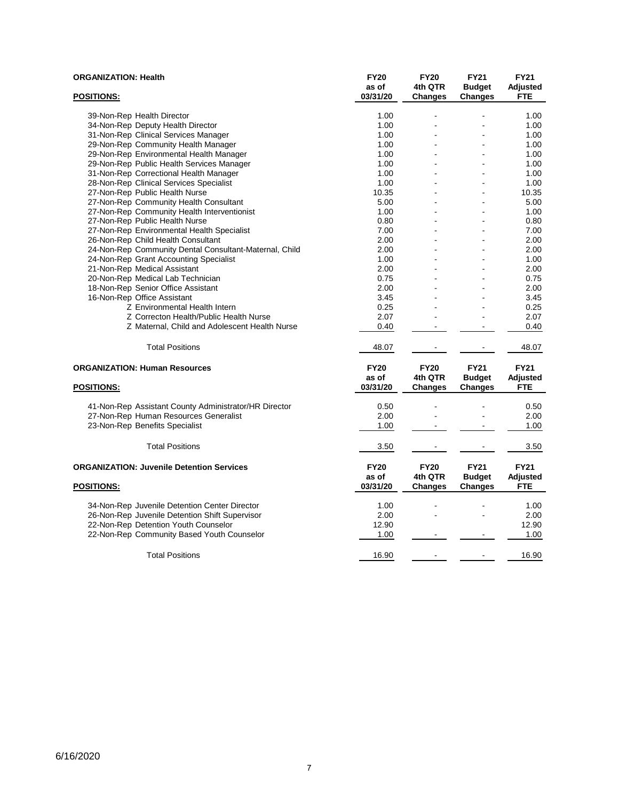| <b>ORGANIZATION: Health</b>                            | <b>FY20</b> | <b>FY20</b>    | <b>FY21</b>    | <b>FY21</b>     |
|--------------------------------------------------------|-------------|----------------|----------------|-----------------|
|                                                        | as of       | 4th QTR        | <b>Budget</b>  | Adjusted        |
| <b>POSITIONS:</b>                                      | 03/31/20    | Changes        | <b>Changes</b> | <b>FTE</b>      |
|                                                        |             |                |                |                 |
| 39-Non-Rep Health Director                             | 1.00        |                |                | 1.00            |
| 34-Non-Rep Deputy Health Director                      | 1.00        |                |                | 1.00            |
| 31-Non-Rep Clinical Services Manager                   | 1.00        |                |                | 1.00            |
| 29-Non-Rep Community Health Manager                    | 1.00        |                |                | 1.00            |
| 29-Non-Rep Environmental Health Manager                | 1.00        | $\overline{a}$ |                | 1.00            |
| 29-Non-Rep Public Health Services Manager              | 1.00        |                |                | 1.00            |
| 31-Non-Rep Correctional Health Manager                 | 1.00        | $\overline{a}$ |                | 1.00            |
| 28-Non-Rep Clinical Services Specialist                | 1.00        |                |                | 1.00            |
| 27-Non-Rep Public Health Nurse                         | 10.35       | $\blacksquare$ |                | 10.35           |
| 27-Non-Rep Community Health Consultant                 | 5.00        |                |                | 5.00            |
| 27-Non-Rep Community Health Interventionist            | 1.00        |                |                | 1.00            |
| 27-Non-Rep Public Health Nurse                         | 0.80        |                |                | 0.80            |
| 27-Non-Rep Environmental Health Specialist             | 7.00        |                |                | 7.00            |
| 26-Non-Rep Child Health Consultant                     | 2.00        |                |                | 2.00            |
| 24-Non-Rep Community Dental Consultant-Maternal, Child | 2.00        |                |                | 2.00            |
| 24-Non-Rep Grant Accounting Specialist                 | 1.00        |                |                | 1.00            |
| 21-Non-Rep Medical Assistant                           | 2.00        |                |                | 2.00            |
| 20-Non-Rep Medical Lab Technician                      | 0.75        |                |                | 0.75            |
| 18-Non-Rep Senior Office Assistant                     | 2.00        |                |                | 2.00            |
| 16-Non-Rep Office Assistant                            | 3.45        |                |                | 3.45            |
| Z Environmental Health Intern                          | 0.25        |                |                | 0.25            |
| Z Correcton Health/Public Health Nurse                 | 2.07        |                |                | 2.07            |
| Z Maternal, Child and Adolescent Health Nurse          | 0.40        |                |                | 0.40            |
| <b>Total Positions</b>                                 | 48.07       |                |                | 48.07           |
| <b>ORGANIZATION: Human Resources</b>                   | <b>FY20</b> | <b>FY20</b>    | <b>FY21</b>    | <b>FY21</b>     |
|                                                        | as of       | 4th QTR        | <b>Budget</b>  | Adjusted        |
| <b>POSITIONS:</b>                                      | 03/31/20    | Changes        | <b>Changes</b> | <b>FTE</b>      |
|                                                        |             |                |                |                 |
| 41-Non-Rep Assistant County Administrator/HR Director  | 0.50        |                |                | 0.50            |
| 27-Non-Rep Human Resources Generalist                  | 2.00        |                |                | 2.00            |
| 23-Non-Rep Benefits Specialist                         | 1.00        |                |                | 1.00            |
| <b>Total Positions</b>                                 | 3.50        |                |                | 3.50            |
|                                                        |             |                |                |                 |
| <b>ORGANIZATION: Juvenile Detention Services</b>       | <b>FY20</b> | <b>FY20</b>    | <b>FY21</b>    | <b>FY21</b>     |
|                                                        | as of       | 4th QTR        | <b>Budget</b>  | <b>Adjusted</b> |
| <b>POSITIONS:</b>                                      | 03/31/20    | <b>Changes</b> | <b>Changes</b> | <b>FTE</b>      |
| 34-Non-Rep Juvenile Detention Center Director          | 1.00        |                |                | 1.00            |
| 26-Non-Rep Juvenile Detention Shift Supervisor         | 2.00        |                |                | 2.00            |
| 22-Non-Rep Detention Youth Counselor                   | 12.90       |                |                | 12.90           |
| 22-Non-Rep Community Based Youth Counselor             | 1.00        |                |                | 1.00            |
| <b>Total Positions</b>                                 | 16.90       |                |                | 16.90           |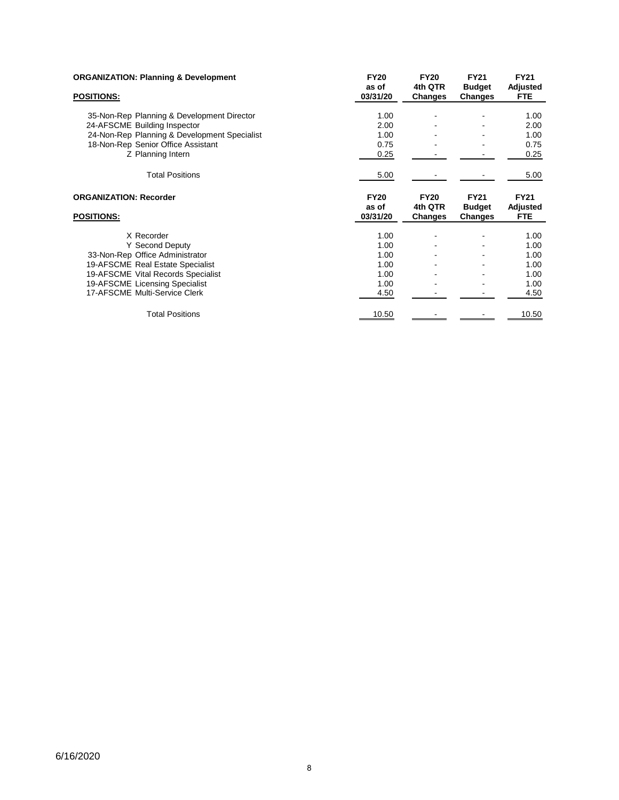| <b>ORGANIZATION: Planning &amp; Development</b><br><b>POSITIONS:</b> | <b>FY20</b><br>as of<br>03/31/20 | <b>FY20</b><br>4th QTR<br>Changes | <b>FY21</b><br><b>Budget</b><br><b>Changes</b> | <b>FY21</b><br>Adjusted<br><b>FTE</b> |
|----------------------------------------------------------------------|----------------------------------|-----------------------------------|------------------------------------------------|---------------------------------------|
|                                                                      |                                  |                                   |                                                |                                       |
| 35-Non-Rep Planning & Development Director                           | 1.00                             |                                   |                                                | 1.00                                  |
| 24-AFSCME Building Inspector                                         | 2.00                             |                                   |                                                | 2.00                                  |
| 24-Non-Rep Planning & Development Specialist                         | 1.00                             |                                   |                                                | 1.00                                  |
| 18-Non-Rep Senior Office Assistant                                   | 0.75                             |                                   |                                                | 0.75                                  |
| Z Planning Intern                                                    | 0.25                             |                                   |                                                | 0.25                                  |
| <b>Total Positions</b>                                               | 5.00                             |                                   |                                                | 5.00                                  |
| <b>ORGANIZATION: Recorder</b><br><b>POSITIONS:</b>                   | <b>FY20</b><br>as of<br>03/31/20 | <b>FY20</b><br>4th QTR<br>Changes | <b>FY21</b><br><b>Budget</b><br><b>Changes</b> | <b>FY21</b><br>Adjusted<br><b>FTE</b> |
|                                                                      |                                  |                                   |                                                |                                       |
| X Recorder                                                           | 1.00                             |                                   |                                                | 1.00                                  |
| Y Second Deputy                                                      | 1.00                             |                                   |                                                | 1.00                                  |
| 33-Non-Rep Office Administrator                                      | 1.00                             |                                   |                                                | 1.00                                  |
| 19-AFSCME Real Estate Specialist                                     | 1.00                             |                                   |                                                | 1.00                                  |
| 19-AFSCME Vital Records Specialist                                   | 1.00                             |                                   |                                                | 1.00                                  |
| 19-AFSCME Licensing Specialist                                       | 1.00                             |                                   |                                                | 1.00                                  |
| 17-AFSCME Multi-Service Clerk                                        | 4.50                             |                                   |                                                | 4.50                                  |
| <b>Total Positions</b>                                               | 10.50                            |                                   |                                                | 10.50                                 |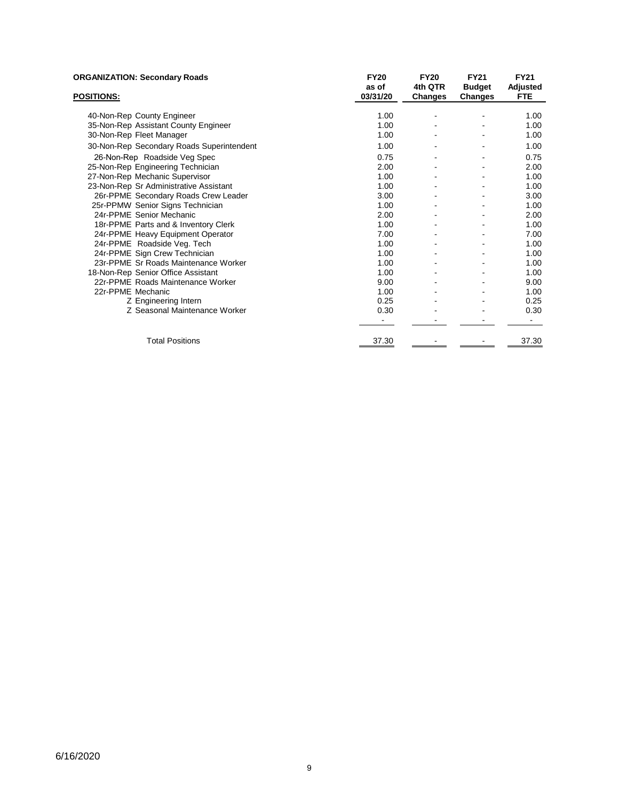| <b>ORGANIZATION: Secondary Roads</b>      | <b>FY20</b><br>as of | <b>FY20</b><br>4th QTR | <b>FY21</b><br><b>Budget</b> | <b>FY21</b><br>Adjusted |
|-------------------------------------------|----------------------|------------------------|------------------------------|-------------------------|
| <b>POSITIONS:</b>                         | 03/31/20             | Changes                | <b>Changes</b>               | <b>FTE</b>              |
| 40-Non-Rep County Engineer                | 1.00                 |                        |                              | 1.00                    |
| 35-Non-Rep Assistant County Engineer      | 1.00                 |                        |                              | 1.00                    |
| 30-Non-Rep Fleet Manager                  | 1.00                 |                        |                              | 1.00                    |
| 30-Non-Rep Secondary Roads Superintendent | 1.00                 |                        |                              | 1.00                    |
| 26-Non-Rep Roadside Veg Spec              | 0.75                 |                        |                              | 0.75                    |
| 25-Non-Rep Engineering Technician         | 2.00                 |                        |                              | 2.00                    |
| 27-Non-Rep Mechanic Supervisor            | 1.00                 |                        |                              | 1.00                    |
| 23-Non-Rep Sr Administrative Assistant    | 1.00                 |                        |                              | 1.00                    |
| 26r-PPME Secondary Roads Crew Leader      | 3.00                 |                        |                              | 3.00                    |
| 25r-PPMW Senior Signs Technician          | 1.00                 |                        |                              | 1.00                    |
| 24r-PPME Senior Mechanic                  | 2.00                 |                        |                              | 2.00                    |
| 18r-PPME Parts and & Inventory Clerk      | 1.00                 |                        |                              | 1.00                    |
| 24r-PPME Heavy Equipment Operator         | 7.00                 |                        |                              | 7.00                    |
| 24r-PPME Roadside Veg. Tech               | 1.00                 |                        |                              | 1.00                    |
| 24r-PPME Sign Crew Technician             | 1.00                 |                        |                              | 1.00                    |
| 23r-PPME Sr Roads Maintenance Worker      | 1.00                 |                        |                              | 1.00                    |
| 18-Non-Rep Senior Office Assistant        | 1.00                 |                        |                              | 1.00                    |
| 22r-PPME Roads Maintenance Worker         | 9.00                 |                        |                              | 9.00                    |
| 22r-PPME Mechanic                         | 1.00                 |                        |                              | 1.00                    |
| Z Engineering Intern                      | 0.25                 |                        |                              | 0.25                    |
| Z Seasonal Maintenance Worker             | 0.30                 |                        |                              | 0.30                    |
|                                           |                      |                        |                              |                         |
| <b>Total Positions</b>                    | 37.30                |                        |                              | 37.30                   |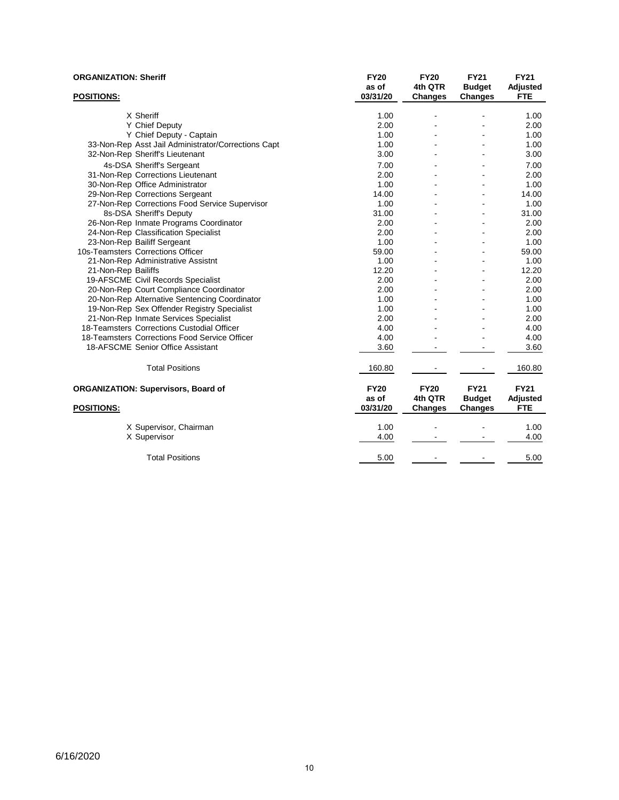| <b>ORGANIZATION: Sheriff</b>                                                    | <b>FY20</b><br>as of | <b>FY20</b><br>4th QTR | <b>FY21</b><br><b>Budget</b> | <b>FY21</b><br>Adjusted |
|---------------------------------------------------------------------------------|----------------------|------------------------|------------------------------|-------------------------|
| <b>POSITIONS:</b>                                                               | 03/31/20             | <b>Changes</b>         | <b>Changes</b>               | <b>FTE</b>              |
| X Sheriff                                                                       |                      |                        |                              |                         |
|                                                                                 | 1.00                 | $\blacksquare$         |                              | 1.00<br>2.00            |
| Y Chief Deputy                                                                  | 2.00<br>1.00         |                        |                              | 1.00                    |
| Y Chief Deputy - Captain<br>33-Non-Rep Asst Jail Administrator/Corrections Capt | 1.00                 |                        |                              | 1.00                    |
| 32-Non-Rep Sheriff's Lieutenant                                                 | 3.00                 |                        |                              | 3.00                    |
|                                                                                 |                      |                        |                              |                         |
| 4s-DSA Sheriff's Sergeant                                                       | 7.00                 |                        |                              | 7.00                    |
| 31-Non-Rep Corrections Lieutenant                                               | 2.00                 |                        |                              | 2.00                    |
| 30-Non-Rep Office Administrator                                                 | 1.00                 |                        |                              | 1.00                    |
| 29-Non-Rep Corrections Sergeant                                                 | 14.00                | $\overline{a}$         |                              | 14.00                   |
| 27-Non-Rep Corrections Food Service Supervisor                                  | 1.00                 |                        |                              | 1.00                    |
| 8s-DSA Sheriff's Deputy                                                         | 31.00                |                        |                              | 31.00<br>2.00           |
| 26-Non-Rep Inmate Programs Coordinator                                          | 2.00                 |                        |                              | 2.00                    |
| 24-Non-Rep Classification Specialist                                            | 2.00<br>1.00         |                        |                              | 1.00                    |
| 23-Non-Rep Bailiff Sergeant<br>10s-Teamsters Corrections Officer                | 59.00                |                        |                              | 59.00                   |
| 21-Non-Rep Administrative Assistnt                                              | 1.00                 |                        |                              | 1.00                    |
| 21-Non-Rep Bailiffs                                                             | 12.20                |                        |                              | 12.20                   |
| 19-AFSCME Civil Records Specialist                                              | 2.00                 |                        |                              | 2.00                    |
| 20-Non-Rep Court Compliance Coordinator                                         | 2.00                 |                        |                              | 2.00                    |
| 20-Non-Rep Alternative Sentencing Coordinator                                   | 1.00                 |                        |                              | 1.00                    |
| 19-Non-Rep Sex Offender Registry Specialist                                     | 1.00                 |                        |                              | 1.00                    |
| 21-Non-Rep Inmate Services Specialist                                           | 2.00                 |                        |                              | 2.00                    |
| 18-Teamsters Corrections Custodial Officer                                      | 4.00                 |                        |                              | 4.00                    |
| 18-Teamsters Corrections Food Service Officer                                   | 4.00                 |                        |                              | 4.00                    |
| 18-AFSCME Senior Office Assistant                                               | 3.60                 |                        |                              | 3.60                    |
|                                                                                 |                      |                        |                              |                         |
| <b>Total Positions</b>                                                          | 160.80               |                        |                              | 160.80                  |
| <b>ORGANIZATION: Supervisors, Board of</b>                                      | <b>FY20</b><br>as of | <b>FY20</b><br>4th QTR | <b>FY21</b><br><b>Budget</b> | <b>FY21</b><br>Adjusted |
| <b>POSITIONS:</b>                                                               | 03/31/20             | Changes                | Changes                      | <b>FTE</b>              |
| X Supervisor, Chairman                                                          | 1.00                 |                        |                              | 1.00                    |
| X Supervisor                                                                    | 4.00                 |                        |                              | 4.00                    |
| <b>Total Positions</b>                                                          | 5.00                 |                        |                              | 5.00                    |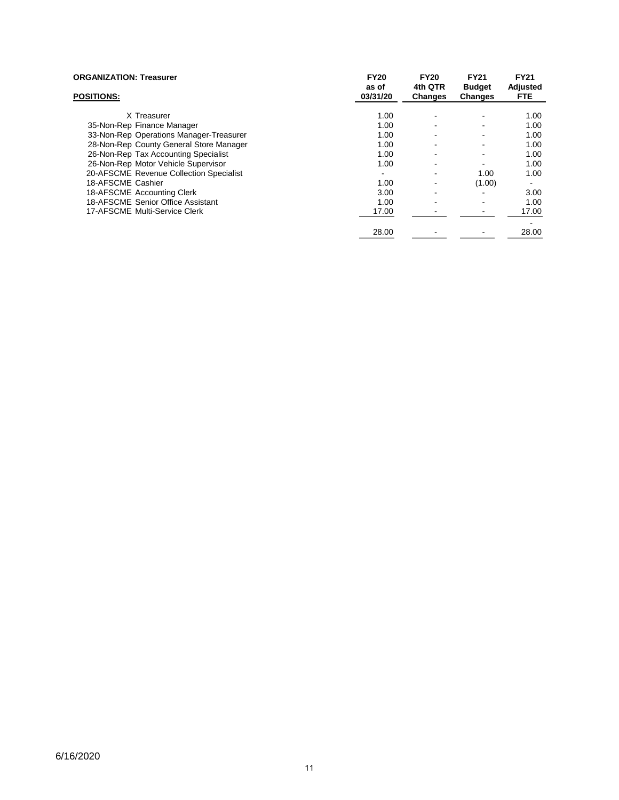| <b>ORGANIZATION: Treasurer</b><br><b>POSITIONS:</b> | <b>FY20</b><br>as of<br>03/31/20 | <b>FY20</b><br>4th QTR<br>Changes | <b>FY21</b><br><b>Budget</b><br>Changes | <b>FY21</b><br>Adjusted<br>FTE. |
|-----------------------------------------------------|----------------------------------|-----------------------------------|-----------------------------------------|---------------------------------|
|                                                     |                                  |                                   |                                         |                                 |
| X Treasurer                                         | 1.00                             |                                   |                                         | 1.00                            |
| 35-Non-Rep Finance Manager                          | 1.00                             | $\overline{\phantom{0}}$          |                                         | 1.00                            |
| 33-Non-Rep Operations Manager-Treasurer             | 1.00                             | -                                 |                                         | 1.00                            |
| 28-Non-Rep County General Store Manager             | 1.00                             |                                   |                                         | 1.00                            |
| 26-Non-Rep Tax Accounting Specialist                | 1.00                             |                                   |                                         | 1.00                            |
| 26-Non-Rep Motor Vehicle Supervisor                 | 1.00                             | ۰                                 |                                         | 1.00                            |
| 20-AFSCME Revenue Collection Specialist             |                                  | $\overline{\phantom{a}}$          | 1.00                                    | 1.00                            |
| 18-AFSCME Cashier                                   | 1.00                             |                                   | (1.00)                                  |                                 |
| 18-AFSCME Accounting Clerk                          | 3.00                             | -                                 |                                         | 3.00                            |
| 18-AFSCME Senior Office Assistant                   | 1.00                             | $\blacksquare$                    |                                         | 1.00                            |
| 17-AFSCME Multi-Service Clerk                       | 17.00                            |                                   |                                         | 17.00                           |
|                                                     |                                  |                                   |                                         |                                 |
|                                                     | 28.00                            |                                   |                                         | 28.00                           |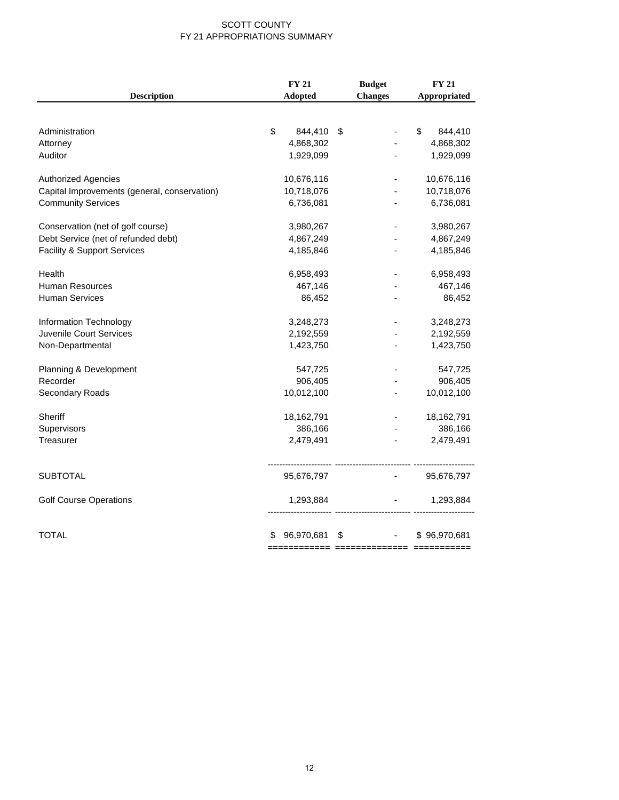#### SCOTT COUNTY FY 21 APPROPRIATIONS SUMMARY

| <b>Description</b>                           | Adopted         | <b>Changes</b> | Appropriated  |
|----------------------------------------------|-----------------|----------------|---------------|
|                                              |                 |                |               |
|                                              |                 |                |               |
| Administration                               | \$<br>844,410   | \$             | \$<br>844,410 |
| Attorney                                     | 4,868,302       |                | 4,868,302     |
| Auditor                                      | 1,929,099       |                | 1,929,099     |
| <b>Authorized Agencies</b>                   | 10,676,116      |                | 10,676,116    |
| Capital Improvements (general, conservation) | 10,718,076      |                | 10,718,076    |
| <b>Community Services</b>                    | 6,736,081       |                | 6,736,081     |
| Conservation (net of golf course)            | 3,980,267       |                | 3,980,267     |
| Debt Service (net of refunded debt)          | 4,867,249       |                | 4,867,249     |
| <b>Facility &amp; Support Services</b>       | 4,185,846       |                | 4,185,846     |
| Health                                       | 6,958,493       |                | 6,958,493     |
| <b>Human Resources</b>                       | 467,146         |                | 467,146       |
| <b>Human Services</b>                        | 86,452          |                | 86,452        |
| Information Technology                       | 3,248,273       |                | 3,248,273     |
| Juvenile Court Services                      | 2,192,559       |                | 2,192,559     |
| Non-Departmental                             | 1,423,750       |                | 1,423,750     |
| Planning & Development                       | 547,725         |                | 547,725       |
| Recorder                                     | 906,405         |                | 906,405       |
| Secondary Roads                              | 10,012,100      |                | 10,012,100    |
| <b>Sheriff</b>                               | 18,162,791      |                | 18,162,791    |
| Supervisors                                  | 386,166         |                | 386,166       |
| Treasurer                                    | 2,479,491       |                | 2,479,491     |
| <b>SUBTOTAL</b>                              | 95,676,797      |                | 95,676,797    |
|                                              |                 |                |               |
| <b>Golf Course Operations</b>                | 1,293,884       |                | 1,293,884     |
| TOTAL                                        | 96,970,681<br>S | \$             | \$96,970,681  |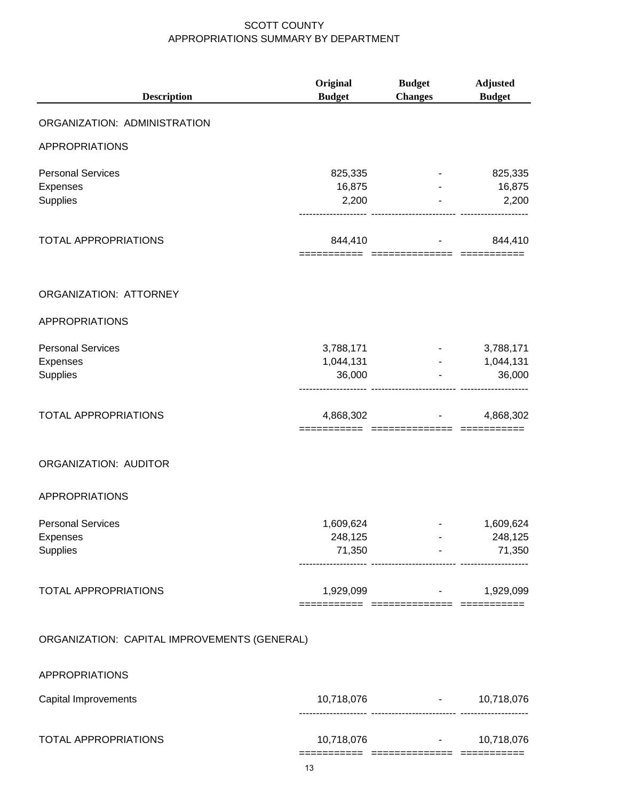| <b>Description</b>                               | Original<br><b>Budget</b>        | <b>Budget</b><br><b>Changes</b>                        | <b>Adjusted</b><br><b>Budget</b> |
|--------------------------------------------------|----------------------------------|--------------------------------------------------------|----------------------------------|
| ORGANIZATION: ADMINISTRATION                     |                                  |                                                        |                                  |
| <b>APPROPRIATIONS</b>                            |                                  |                                                        |                                  |
| <b>Personal Services</b><br>Expenses<br>Supplies | 825,335<br>16,875<br>2,200       |                                                        | 825,335<br>16,875<br>2,200       |
| <b>TOTAL APPROPRIATIONS</b>                      | 844,410                          | ========= ============== ========                      | 844,410                          |
| ORGANIZATION: ATTORNEY                           |                                  |                                                        |                                  |
| <b>APPROPRIATIONS</b>                            |                                  |                                                        |                                  |
| <b>Personal Services</b><br>Expenses<br>Supplies | 3,788,171<br>1,044,131<br>36,000 |                                                        | 3,788,171<br>1,044,131<br>36,000 |
| <b>TOTAL APPROPRIATIONS</b>                      | 4,868,302                        | ____________                                           | 4,868,302                        |
| ORGANIZATION: AUDITOR                            |                                  |                                                        |                                  |
| <b>APPROPRIATIONS</b>                            |                                  |                                                        |                                  |
| <b>Personal Services</b><br>Expenses<br>Supplies | 1,609,624<br>248,125<br>71,350   |                                                        | 1,609,624<br>248,125<br>71,350   |
| TOTAL APPROPRIATIONS                             |                                  | $1,929,099$ and $-$<br>======= ============== ======== | 1,929,099                        |
| ORGANIZATION: CAPITAL IMPROVEMENTS (GENERAL)     |                                  |                                                        |                                  |
| <b>APPROPRIATIONS</b>                            |                                  |                                                        |                                  |
| Capital Improvements                             |                                  | $10,718,076$ -                                         | 10,718,076                       |
| <b>TOTAL APPROPRIATIONS</b>                      | 10,718,076                       | $\sim 100$ km s $^{-1}$                                | 10,718,076                       |

=========== ============== ===========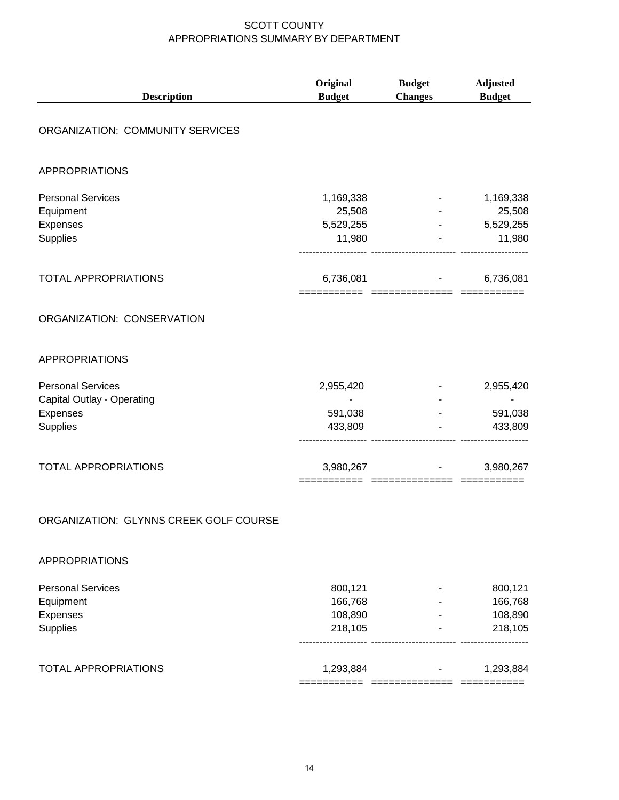| <b>Description</b>                                                             | Original<br><b>Budget</b>                         | <b>Budget</b><br><b>Changes</b>         | <b>Adjusted</b><br><b>Budget</b>                  |
|--------------------------------------------------------------------------------|---------------------------------------------------|-----------------------------------------|---------------------------------------------------|
| ORGANIZATION: COMMUNITY SERVICES                                               |                                                   |                                         |                                                   |
| <b>APPROPRIATIONS</b>                                                          |                                                   |                                         |                                                   |
| <b>Personal Services</b><br>Equipment<br>Expenses<br>Supplies                  | 1,169,338<br>25,508<br>5,529,255<br>11,980        |                                         | 1,169,338<br>25,508<br>5,529,255<br>11,980        |
| <b>TOTAL APPROPRIATIONS</b>                                                    | 6,736,081                                         | <b>All Contractor</b><br>-------------- | 6,736,081                                         |
| ORGANIZATION: CONSERVATION                                                     |                                                   |                                         |                                                   |
| <b>APPROPRIATIONS</b>                                                          |                                                   |                                         |                                                   |
| <b>Personal Services</b><br>Capital Outlay - Operating<br>Expenses<br>Supplies | 2,955,420<br>$\blacksquare$<br>591,038<br>433,809 |                                         | 2,955,420<br>$\blacksquare$<br>591,038<br>433,809 |
| <b>TOTAL APPROPRIATIONS</b>                                                    | 3,980,267<br>===================                  |                                         | 3,980,267                                         |
| ORGANIZATION: GLYNNS CREEK GOLF COURSE                                         |                                                   |                                         |                                                   |
| APPROPRIATIONS                                                                 |                                                   |                                         |                                                   |
| <b>Personal Services</b><br>Equipment<br>Expenses<br>Supplies                  | 800,121<br>166,768<br>108,890<br>218,105          |                                         | 800,121<br>166,768<br>108,890<br>218,105          |
| <b>TOTAL APPROPRIATIONS</b>                                                    | 1,293,884<br>===========                          |                                         | 1,293,884<br>===========                          |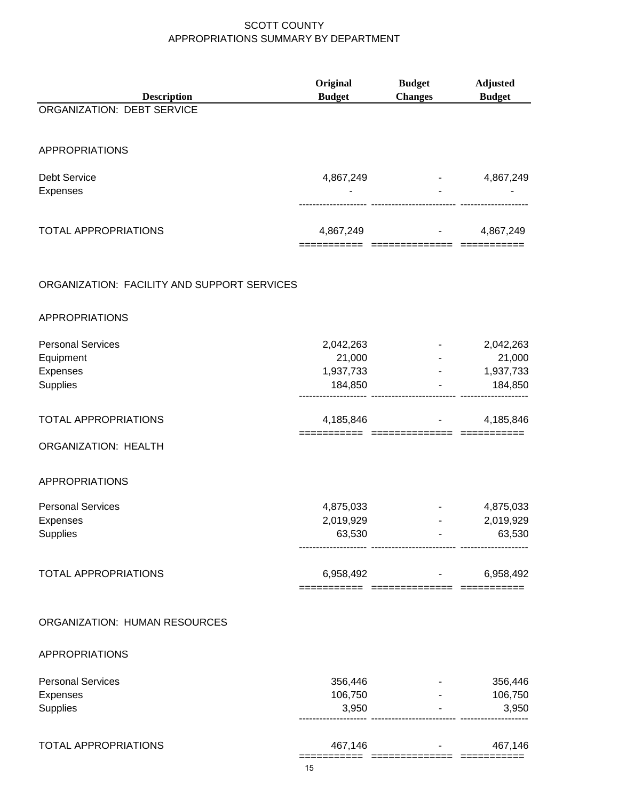| <b>Description</b>                          | Original<br><b>Budget</b> | <b>Budget</b><br><b>Changes</b>                        | <b>Adjusted</b><br><b>Budget</b>        |
|---------------------------------------------|---------------------------|--------------------------------------------------------|-----------------------------------------|
| ORGANIZATION: DEBT SERVICE                  |                           |                                                        |                                         |
|                                             |                           |                                                        |                                         |
| <b>APPROPRIATIONS</b>                       |                           |                                                        |                                         |
| <b>Debt Service</b>                         | 4,867,249                 |                                                        | 4,867,249                               |
| <b>Expenses</b>                             |                           |                                                        |                                         |
|                                             |                           |                                                        |                                         |
| <b>TOTAL APPROPRIATIONS</b>                 | 4,867,249                 |                                                        | 4,867,249                               |
|                                             |                           |                                                        |                                         |
| ORGANIZATION: FACILITY AND SUPPORT SERVICES |                           |                                                        |                                         |
| <b>APPROPRIATIONS</b>                       |                           |                                                        |                                         |
| <b>Personal Services</b>                    | 2,042,263                 |                                                        | 2,042,263                               |
| Equipment                                   | 21,000                    |                                                        | 21,000                                  |
| Expenses                                    | 1,937,733                 |                                                        | 1,937,733                               |
| Supplies                                    | 184,850                   |                                                        | 184,850                                 |
| <b>TOTAL APPROPRIATIONS</b>                 | 4,185,846                 |                                                        | 4,185,846                               |
| <b>ORGANIZATION: HEALTH</b>                 | --------- ----------      |                                                        |                                         |
| <b>APPROPRIATIONS</b>                       |                           |                                                        |                                         |
| <b>Personal Services</b>                    | 4,875,033                 |                                                        | 4,875,033                               |
| <b>Expenses</b>                             | 2,019,929                 |                                                        | 2,019,929                               |
| Supplies                                    | 63,530                    |                                                        | 63,530                                  |
|                                             |                           |                                                        |                                         |
| <b>TOTAL APPROPRIATIONS</b>                 |                           | 6,958,492 - 1<br>;========  ==============  ========== | 6,958,492                               |
| ORGANIZATION: HUMAN RESOURCES               |                           |                                                        |                                         |
|                                             |                           |                                                        |                                         |
| <b>APPROPRIATIONS</b>                       |                           |                                                        |                                         |
| <b>Personal Services</b>                    | 356,446                   |                                                        | 356,446                                 |
| Expenses                                    | 106,750                   |                                                        | 106,750                                 |
| Supplies                                    | 3,950                     |                                                        | 3,950                                   |
| <b>TOTAL APPROPRIATIONS</b>                 |                           | 467,146                                                | 467,146<br><b>All Contract Contract</b> |
|                                             |                           |                                                        |                                         |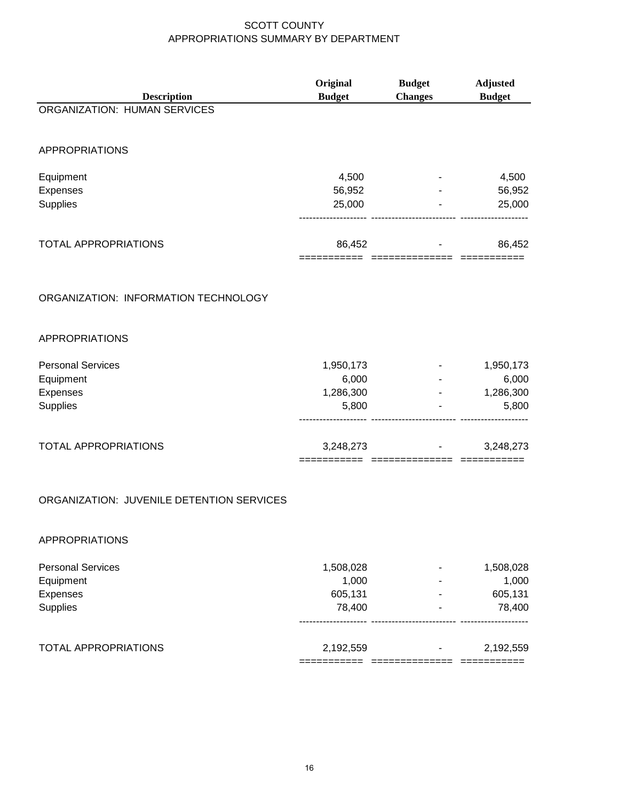|                                           | Original                    | <b>Budget</b>      | <b>Adjusted</b> |
|-------------------------------------------|-----------------------------|--------------------|-----------------|
| <b>Description</b>                        | <b>Budget</b>               | <b>Changes</b>     | <b>Budget</b>   |
| <b>ORGANIZATION: HUMAN SERVICES</b>       |                             |                    |                 |
| <b>APPROPRIATIONS</b>                     |                             |                    |                 |
| Equipment                                 | 4,500                       |                    | 4,500           |
| Expenses                                  | 56,952                      |                    | 56,952          |
| Supplies                                  | 25,000                      |                    | 25,000          |
| <b>TOTAL APPROPRIATIONS</b>               | 86,452                      |                    | 86,452          |
|                                           | =========================== |                    | ===========     |
| ORGANIZATION: INFORMATION TECHNOLOGY      |                             |                    |                 |
| <b>APPROPRIATIONS</b>                     |                             |                    |                 |
| <b>Personal Services</b>                  | 1,950,173                   |                    | 1,950,173       |
| Equipment                                 | 6,000                       |                    | 6,000           |
| Expenses                                  | 1,286,300                   |                    | 1,286,300       |
| Supplies                                  | 5,800                       |                    | 5,800           |
| TOTAL APPROPRIATIONS                      | 3,248,273                   |                    | 3,248,273       |
| ORGANIZATION: JUVENILE DETENTION SERVICES |                             | $=$ ============== |                 |
|                                           |                             |                    |                 |

#### APPROPRIATIONS

| <b>Personal Services</b>    | 1,508,028 | ٠ | 1,508,028 |
|-----------------------------|-----------|---|-----------|
| Equipment                   | 1.000     | - | 1,000     |
| Expenses                    | 605,131   |   | 605,131   |
| Supplies                    | 78.400    | - | 78,400    |
|                             |           |   |           |
| <b>TOTAL APPROPRIATIONS</b> | 2,192,559 | - | 2,192,559 |
|                             |           |   |           |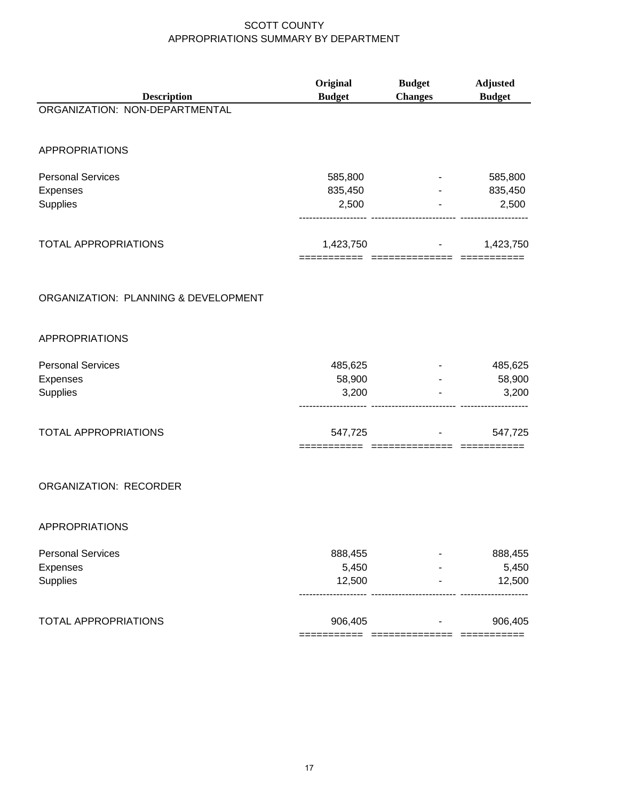|                                      | Original      | <b>Budget</b>            | <b>Adjusted</b> |
|--------------------------------------|---------------|--------------------------|-----------------|
| <b>Description</b>                   | <b>Budget</b> | <b>Changes</b>           | <b>Budget</b>   |
| ORGANIZATION: NON-DEPARTMENTAL       |               |                          |                 |
| <b>APPROPRIATIONS</b>                |               |                          |                 |
| <b>Personal Services</b>             | 585,800       |                          | 585,800         |
| Expenses                             | 835,450       |                          | 835,450         |
| Supplies                             | 2,500         |                          | 2,500           |
| TOTAL APPROPRIATIONS                 | 1,423,750     |                          | 1,423,750       |
| ORGANIZATION: PLANNING & DEVELOPMENT |               |                          |                 |
| <b>APPROPRIATIONS</b>                |               |                          |                 |
| <b>Personal Services</b>             | 485,625       |                          | 485,625         |
| Expenses                             | 58,900        |                          | 58,900          |
| Supplies                             | 3,200         |                          | 3,200           |
| <b>TOTAL APPROPRIATIONS</b>          | 547,725       |                          | 547,725         |
| ORGANIZATION: RECORDER               |               |                          |                 |
| APPROPRIATIONS                       |               |                          |                 |
| <b>Personal Services</b>             | 888,455       |                          | 888,455         |
| Expenses                             | 5,450         |                          | 5,450           |
| Supplies                             | 12,500        |                          | 12,500          |
| <b>TOTAL APPROPRIATIONS</b>          | 906,405       | ======================== | 906,405         |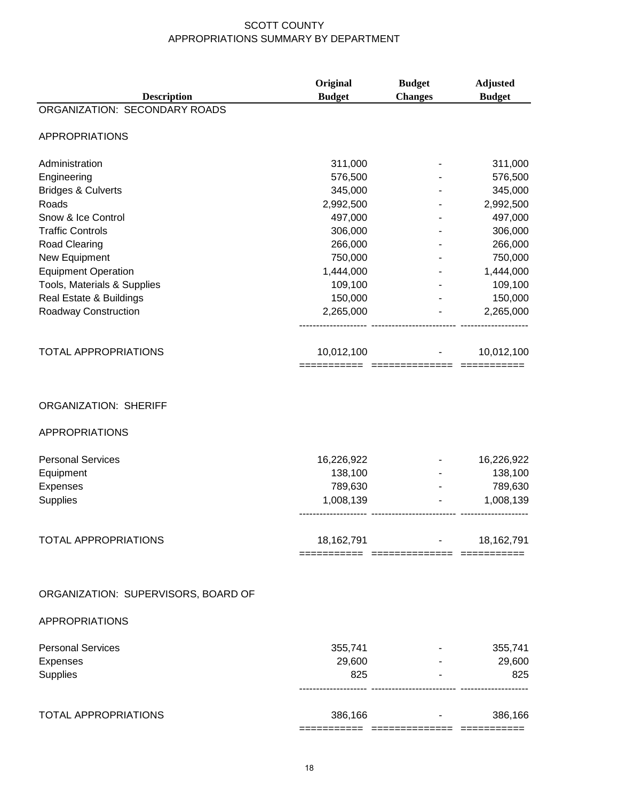| <b>Description</b>                                    | Original<br><b>Budget</b>              | <b>Budget</b><br><b>Changes</b> | <b>Adjusted</b><br><b>Budget</b> |
|-------------------------------------------------------|----------------------------------------|---------------------------------|----------------------------------|
| ORGANIZATION: SECONDARY ROADS                         |                                        |                                 |                                  |
| <b>APPROPRIATIONS</b>                                 |                                        |                                 |                                  |
| Administration                                        | 311,000                                |                                 | 311,000                          |
| Engineering                                           | 576,500                                |                                 | 576,500                          |
| <b>Bridges &amp; Culverts</b>                         | 345,000                                |                                 | 345,000                          |
| Roads                                                 | 2,992,500                              |                                 | 2,992,500                        |
| Snow & Ice Control                                    | 497,000                                |                                 | 497,000                          |
| <b>Traffic Controls</b>                               | 306,000                                |                                 | 306,000                          |
| Road Clearing                                         | 266,000                                |                                 | 266,000                          |
| New Equipment                                         | 750,000                                |                                 | 750,000                          |
| <b>Equipment Operation</b>                            | 1,444,000                              |                                 | 1,444,000                        |
| Tools, Materials & Supplies                           | 109,100                                |                                 | 109,100                          |
| Real Estate & Buildings                               | 150,000                                |                                 | 150,000                          |
| Roadway Construction                                  | 2,265,000                              |                                 | 2,265,000                        |
| TOTAL APPROPRIATIONS                                  | 10,012,100                             |                                 | 10,012,100                       |
| <b>ORGANIZATION: SHERIFF</b><br><b>APPROPRIATIONS</b> |                                        |                                 |                                  |
| <b>Personal Services</b>                              | 16,226,922                             |                                 | 16,226,922                       |
| Equipment                                             | 138,100                                |                                 | 138,100                          |
| Expenses                                              | 789,630                                |                                 | 789,630                          |
| Supplies                                              | 1,008,139                              |                                 | 1,008,139                        |
| <b>TOTAL APPROPRIATIONS</b>                           | 18,162,791                             |                                 | 18,162,791                       |
| ORGANIZATION: SUPERVISORS, BOARD OF                   |                                        |                                 |                                  |
| <b>APPROPRIATIONS</b>                                 |                                        |                                 |                                  |
| <b>Personal Services</b>                              | 355,741                                |                                 | 355,741                          |
| Expenses                                              | 29,600                                 |                                 | 29,600                           |
| Supplies                                              | 825                                    |                                 | 825                              |
| <b>TOTAL APPROPRIATIONS</b>                           | 386,166                                |                                 | 386,166                          |
|                                                       | =========== ============== =========== |                                 |                                  |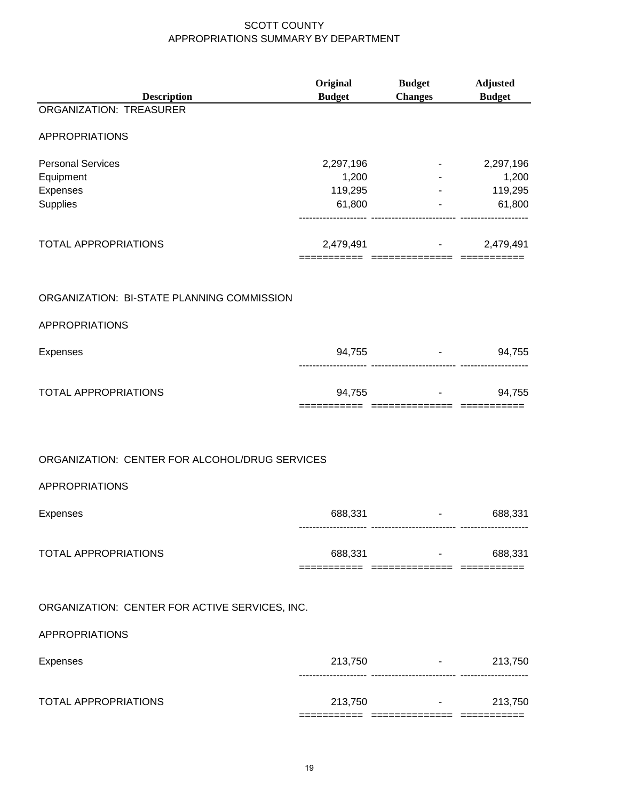| <b>Description</b>                             | Original<br><b>Budget</b> | <b>Budget</b><br><b>Changes</b>                      | <b>Adjusted</b><br><b>Budget</b> |
|------------------------------------------------|---------------------------|------------------------------------------------------|----------------------------------|
| <b>ORGANIZATION: TREASURER</b>                 |                           |                                                      |                                  |
| <b>APPROPRIATIONS</b>                          |                           |                                                      |                                  |
| <b>Personal Services</b>                       | 2,297,196                 | <b>Harry Corp.</b>                                   | 2,297,196                        |
| Equipment                                      | 1,200                     |                                                      | 1,200                            |
| Expenses<br>Supplies                           | 119,295<br>61,800         |                                                      | 119,295<br>61,800                |
|                                                |                           |                                                      |                                  |
| <b>TOTAL APPROPRIATIONS</b>                    |                           | $2,479,491$ -<br>=====   ===============   ========= | 2,479,491                        |
| ORGANIZATION: BI-STATE PLANNING COMMISSION     |                           |                                                      |                                  |
|                                                |                           |                                                      |                                  |
| <b>APPROPRIATIONS</b>                          |                           |                                                      |                                  |
| Expenses                                       |                           | 94,755 - 94,755                                      |                                  |
| TOTAL APPROPRIATIONS                           |                           | 94,755 - 94,755<br>========================          |                                  |
|                                                |                           |                                                      |                                  |
| ORGANIZATION: CENTER FOR ALCOHOL/DRUG SERVICES |                           |                                                      |                                  |
| <b>APPROPRIATIONS</b>                          |                           |                                                      |                                  |
| Expenses                                       | 688,331                   |                                                      | 688,331                          |
| <b>TOTAL APPROPRIATIONS</b>                    |                           | 688,331 - 1                                          | 688,331                          |
| ORGANIZATION: CENTER FOR ACTIVE SERVICES, INC. |                           |                                                      |                                  |
|                                                |                           |                                                      |                                  |
| <b>APPROPRIATIONS</b>                          |                           |                                                      |                                  |
| Expenses                                       |                           | 213,750 - 213,750                                    | 213,750                          |
| <b>TOTAL APPROPRIATIONS</b>                    |                           | 213,750 - 213,750<br>:============   ======          | 213,750                          |
|                                                |                           |                                                      |                                  |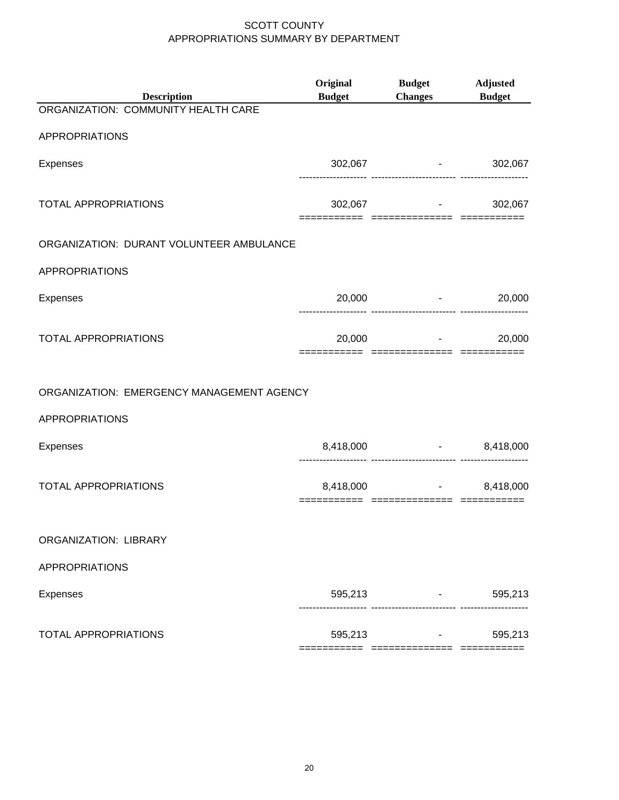| Adjusted<br><b>Budget</b>                   |
|---------------------------------------------|
|                                             |
|                                             |
| 302,067                                     |
| 302,067                                     |
|                                             |
|                                             |
| 20,000<br>and the state of the state of the |
| 20,000                                      |
|                                             |
|                                             |
| $-8,418,000$                                |
| 8,418,000<br>==== =============== ========  |
|                                             |
|                                             |
| 595,213                                     |
| 595,213                                     |
|                                             |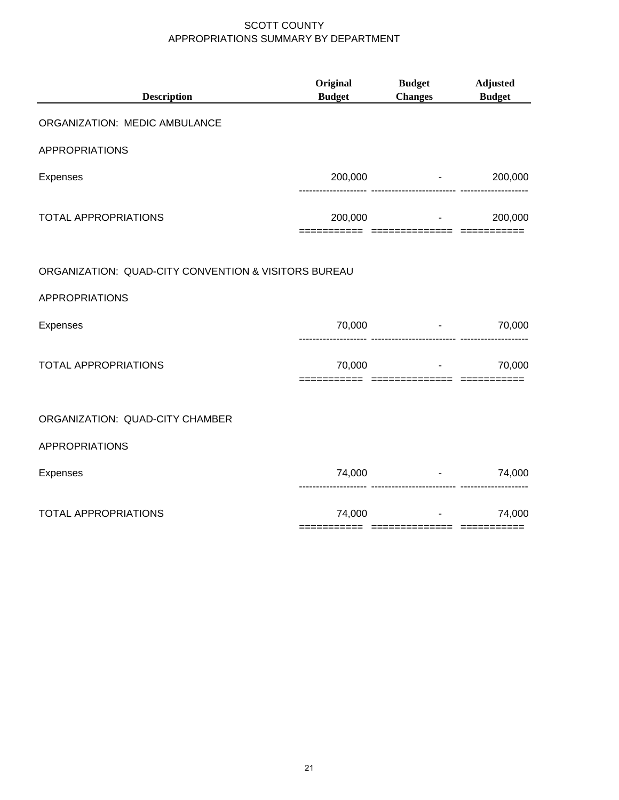| <b>Description</b>                                   | Original<br><b>Budget</b> | <b>Budget</b><br><b>Changes</b>             | <b>Adjusted</b><br><b>Budget</b> |
|------------------------------------------------------|---------------------------|---------------------------------------------|----------------------------------|
| ORGANIZATION: MEDIC AMBULANCE                        |                           |                                             |                                  |
| <b>APPROPRIATIONS</b>                                |                           |                                             |                                  |
| Expenses                                             |                           | $200,000$ -                                 | 200,000                          |
| <b>TOTAL APPROPRIATIONS</b>                          | 200,000                   | ======================                      | 200,000                          |
| ORGANIZATION: QUAD-CITY CONVENTION & VISITORS BUREAU |                           |                                             |                                  |
| <b>APPROPRIATIONS</b>                                |                           |                                             |                                  |
| Expenses                                             | 70,000                    |                                             | 70,000                           |
| TOTAL APPROPRIATIONS                                 |                           | 70,000<br>;=======  ==============  ======= | 70,000                           |
| ORGANIZATION: QUAD-CITY CHAMBER                      |                           |                                             |                                  |
| <b>APPROPRIATIONS</b>                                |                           |                                             |                                  |
| <b>Expenses</b>                                      | 74,000                    |                                             | 74,000                           |
| <b>TOTAL APPROPRIATIONS</b>                          | 74,000                    |                                             | 74,000                           |